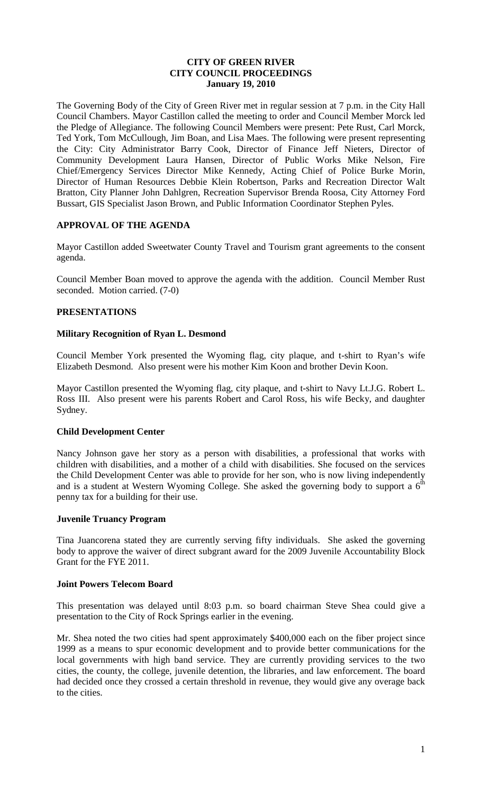## **CITY OF GREEN RIVER CITY COUNCIL PROCEEDINGS January 19, 2010**

The Governing Body of the City of Green River met in regular session at 7 p.m. in the City Hall Council Chambers. Mayor Castillon called the meeting to order and Council Member Morck led the Pledge of Allegiance. The following Council Members were present: Pete Rust, Carl Morck, Ted York, Tom McCullough, Jim Boan, and Lisa Maes. The following were present representing the City: City Administrator Barry Cook, Director of Finance Jeff Nieters, Director of Community Development Laura Hansen, Director of Public Works Mike Nelson, Fire Chief/Emergency Services Director Mike Kennedy, Acting Chief of Police Burke Morin, Director of Human Resources Debbie Klein Robertson, Parks and Recreation Director Walt Bratton, City Planner John Dahlgren, Recreation Supervisor Brenda Roosa, City Attorney Ford Bussart, GIS Specialist Jason Brown, and Public Information Coordinator Stephen Pyles.

## **APPROVAL OF THE AGENDA**

Mayor Castillon added Sweetwater County Travel and Tourism grant agreements to the consent agenda.

Council Member Boan moved to approve the agenda with the addition. Council Member Rust seconded. Motion carried. (7-0)

## **PRESENTATIONS**

## **Military Recognition of Ryan L. Desmond**

Council Member York presented the Wyoming flag, city plaque, and t-shirt to Ryan's wife Elizabeth Desmond. Also present were his mother Kim Koon and brother Devin Koon.

Mayor Castillon presented the Wyoming flag, city plaque, and t-shirt to Navy Lt.J.G. Robert L. Ross III. Also present were his parents Robert and Carol Ross, his wife Becky, and daughter Sydney.

## **Child Development Center**

Nancy Johnson gave her story as a person with disabilities, a professional that works with children with disabilities, and a mother of a child with disabilities. She focused on the services the Child Development Center was able to provide for her son, who is now living independently and is a student at Western Wyoming College. She asked the governing body to support a  $6<sup>th</sup>$ penny tax for a building for their use.

## **Juvenile Truancy Program**

Tina Juancorena stated they are currently serving fifty individuals. She asked the governing body to approve the waiver of direct subgrant award for the 2009 Juvenile Accountability Block Grant for the FYE 2011.

#### **Joint Powers Telecom Board**

This presentation was delayed until 8:03 p.m. so board chairman Steve Shea could give a presentation to the City of Rock Springs earlier in the evening.

Mr. Shea noted the two cities had spent approximately \$400,000 each on the fiber project since 1999 as a means to spur economic development and to provide better communications for the local governments with high band service. They are currently providing services to the two cities, the county, the college, juvenile detention, the libraries, and law enforcement. The board had decided once they crossed a certain threshold in revenue, they would give any overage back to the cities.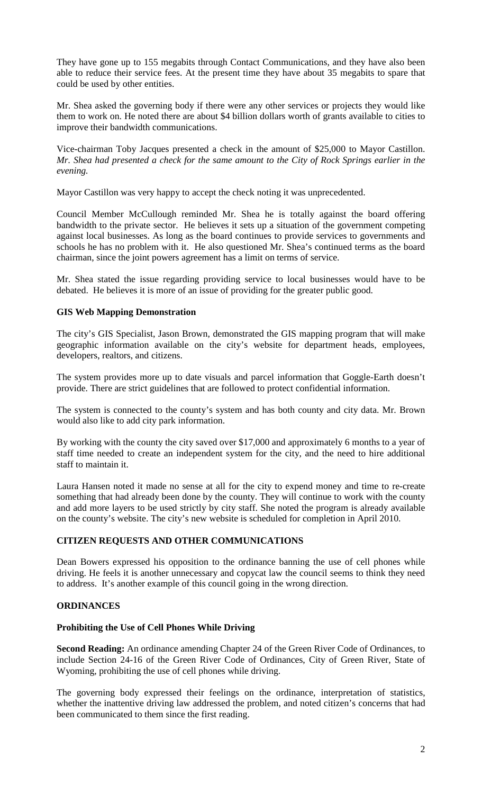They have gone up to 155 megabits through Contact Communications, and they have also been able to reduce their service fees. At the present time they have about 35 megabits to spare that could be used by other entities.

Mr. Shea asked the governing body if there were any other services or projects they would like them to work on. He noted there are about \$4 billion dollars worth of grants available to cities to improve their bandwidth communications.

Vice-chairman Toby Jacques presented a check in the amount of \$25,000 to Mayor Castillon. *Mr. Shea had presented a check for the same amount to the City of Rock Springs earlier in the evening.*

Mayor Castillon was very happy to accept the check noting it was unprecedented.

Council Member McCullough reminded Mr. Shea he is totally against the board offering bandwidth to the private sector. He believes it sets up a situation of the government competing against local businesses. As long as the board continues to provide services to governments and schools he has no problem with it. He also questioned Mr. Shea's continued terms as the board chairman, since the joint powers agreement has a limit on terms of service.

Mr. Shea stated the issue regarding providing service to local businesses would have to be debated. He believes it is more of an issue of providing for the greater public good.

## **GIS Web Mapping Demonstration**

The city's GIS Specialist, Jason Brown, demonstrated the GIS mapping program that will make geographic information available on the city's website for department heads, employees, developers, realtors, and citizens.

The system provides more up to date visuals and parcel information that Goggle-Earth doesn't provide. There are strict guidelines that are followed to protect confidential information.

The system is connected to the county's system and has both county and city data. Mr. Brown would also like to add city park information.

By working with the county the city saved over \$17,000 and approximately 6 months to a year of staff time needed to create an independent system for the city, and the need to hire additional staff to maintain it.

Laura Hansen noted it made no sense at all for the city to expend money and time to re-create something that had already been done by the county. They will continue to work with the county and add more layers to be used strictly by city staff. She noted the program is already available on the county's website. The city's new website is scheduled for completion in April 2010.

## **CITIZEN REQUESTS AND OTHER COMMUNICATIONS**

Dean Bowers expressed his opposition to the ordinance banning the use of cell phones while driving. He feels it is another unnecessary and copycat law the council seems to think they need to address. It's another example of this council going in the wrong direction.

## **ORDINANCES**

## **Prohibiting the Use of Cell Phones While Driving**

**Second Reading:** An ordinance amending Chapter 24 of the Green River Code of Ordinances, to include Section 24-16 of the Green River Code of Ordinances, City of Green River, State of Wyoming, prohibiting the use of cell phones while driving.

The governing body expressed their feelings on the ordinance, interpretation of statistics, whether the inattentive driving law addressed the problem, and noted citizen's concerns that had been communicated to them since the first reading.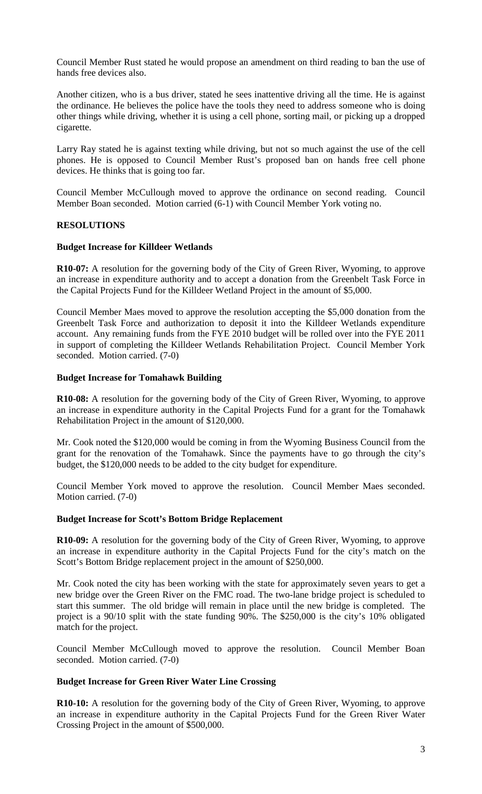Council Member Rust stated he would propose an amendment on third reading to ban the use of hands free devices also.

Another citizen, who is a bus driver, stated he sees inattentive driving all the time. He is against the ordinance. He believes the police have the tools they need to address someone who is doing other things while driving, whether it is using a cell phone, sorting mail, or picking up a dropped cigarette.

Larry Ray stated he is against texting while driving, but not so much against the use of the cell phones. He is opposed to Council Member Rust's proposed ban on hands free cell phone devices. He thinks that is going too far.

Council Member McCullough moved to approve the ordinance on second reading. Council Member Boan seconded. Motion carried (6-1) with Council Member York voting no.

## **RESOLUTIONS**

#### **Budget Increase for Killdeer Wetlands**

**R10-07:** A resolution for the governing body of the City of Green River, Wyoming, to approve an increase in expenditure authority and to accept a donation from the Greenbelt Task Force in the Capital Projects Fund for the Killdeer Wetland Project in the amount of \$5,000.

Council Member Maes moved to approve the resolution accepting the \$5,000 donation from the Greenbelt Task Force and authorization to deposit it into the Killdeer Wetlands expenditure account. Any remaining funds from the FYE 2010 budget will be rolled over into the FYE 2011 in support of completing the Killdeer Wetlands Rehabilitation Project. Council Member York seconded. Motion carried. (7-0)

#### **Budget Increase for Tomahawk Building**

**R10-08:** A resolution for the governing body of the City of Green River, Wyoming, to approve an increase in expenditure authority in the Capital Projects Fund for a grant for the Tomahawk Rehabilitation Project in the amount of \$120,000.

Mr. Cook noted the \$120,000 would be coming in from the Wyoming Business Council from the grant for the renovation of the Tomahawk. Since the payments have to go through the city's budget, the \$120,000 needs to be added to the city budget for expenditure.

Council Member York moved to approve the resolution. Council Member Maes seconded. Motion carried. (7-0)

#### **Budget Increase for Scott's Bottom Bridge Replacement**

**R10-09:** A resolution for the governing body of the City of Green River, Wyoming, to approve an increase in expenditure authority in the Capital Projects Fund for the city's match on the Scott's Bottom Bridge replacement project in the amount of \$250,000.

Mr. Cook noted the city has been working with the state for approximately seven years to get a new bridge over the Green River on the FMC road. The two-lane bridge project is scheduled to start this summer. The old bridge will remain in place until the new bridge is completed. The project is a 90/10 split with the state funding 90%. The \$250,000 is the city's 10% obligated match for the project.

Council Member McCullough moved to approve the resolution. Council Member Boan seconded. Motion carried. (7-0)

#### **Budget Increase for Green River Water Line Crossing**

**R10-10:** A resolution for the governing body of the City of Green River, Wyoming, to approve an increase in expenditure authority in the Capital Projects Fund for the Green River Water Crossing Project in the amount of \$500,000.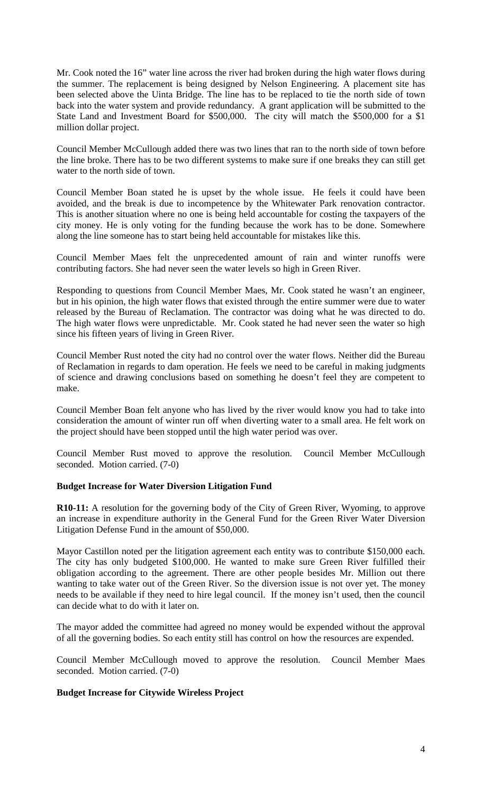Mr. Cook noted the 16" water line across the river had broken during the high water flows during the summer. The replacement is being designed by Nelson Engineering. A placement site has been selected above the Uinta Bridge. The line has to be replaced to tie the north side of town back into the water system and provide redundancy. A grant application will be submitted to the State Land and Investment Board for \$500,000. The city will match the \$500,000 for a \$1 million dollar project.

Council Member McCullough added there was two lines that ran to the north side of town before the line broke. There has to be two different systems to make sure if one breaks they can still get water to the north side of town.

Council Member Boan stated he is upset by the whole issue. He feels it could have been avoided, and the break is due to incompetence by the Whitewater Park renovation contractor. This is another situation where no one is being held accountable for costing the taxpayers of the city money. He is only voting for the funding because the work has to be done. Somewhere along the line someone has to start being held accountable for mistakes like this.

Council Member Maes felt the unprecedented amount of rain and winter runoffs were contributing factors. She had never seen the water levels so high in Green River.

Responding to questions from Council Member Maes, Mr. Cook stated he wasn't an engineer, but in his opinion, the high water flows that existed through the entire summer were due to water released by the Bureau of Reclamation. The contractor was doing what he was directed to do. The high water flows were unpredictable. Mr. Cook stated he had never seen the water so high since his fifteen years of living in Green River.

Council Member Rust noted the city had no control over the water flows. Neither did the Bureau of Reclamation in regards to dam operation. He feels we need to be careful in making judgments of science and drawing conclusions based on something he doesn't feel they are competent to make.

Council Member Boan felt anyone who has lived by the river would know you had to take into consideration the amount of winter run off when diverting water to a small area. He felt work on the project should have been stopped until the high water period was over.

Council Member Rust moved to approve the resolution. Council Member McCullough seconded. Motion carried. (7-0)

## **Budget Increase for Water Diversion Litigation Fund**

**R10-11:** A resolution for the governing body of the City of Green River, Wyoming, to approve an increase in expenditure authority in the General Fund for the Green River Water Diversion Litigation Defense Fund in the amount of \$50,000.

Mayor Castillon noted per the litigation agreement each entity was to contribute \$150,000 each. The city has only budgeted \$100,000. He wanted to make sure Green River fulfilled their obligation according to the agreement. There are other people besides Mr. Million out there wanting to take water out of the Green River. So the diversion issue is not over yet. The money needs to be available if they need to hire legal council. If the money isn't used, then the council can decide what to do with it later on.

The mayor added the committee had agreed no money would be expended without the approval of all the governing bodies. So each entity still has control on how the resources are expended.

Council Member McCullough moved to approve the resolution. Council Member Maes seconded. Motion carried. (7-0)

## **Budget Increase for Citywide Wireless Project**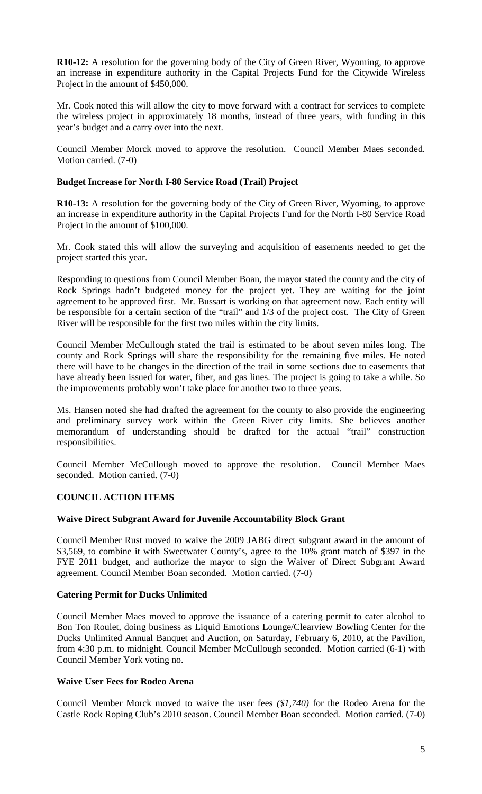**R10-12:** A resolution for the governing body of the City of Green River, Wyoming, to approve an increase in expenditure authority in the Capital Projects Fund for the Citywide Wireless Project in the amount of \$450,000.

Mr. Cook noted this will allow the city to move forward with a contract for services to complete the wireless project in approximately 18 months, instead of three years, with funding in this year's budget and a carry over into the next.

Council Member Morck moved to approve the resolution. Council Member Maes seconded. Motion carried. (7-0)

## **Budget Increase for North I-80 Service Road (Trail) Project**

**R10-13:** A resolution for the governing body of the City of Green River, Wyoming, to approve an increase in expenditure authority in the Capital Projects Fund for the North I-80 Service Road Project in the amount of \$100,000.

Mr. Cook stated this will allow the surveying and acquisition of easements needed to get the project started this year.

Responding to questions from Council Member Boan, the mayor stated the county and the city of Rock Springs hadn't budgeted money for the project yet. They are waiting for the joint agreement to be approved first. Mr. Bussart is working on that agreement now. Each entity will be responsible for a certain section of the "trail" and  $1/3$  of the project cost. The City of Green River will be responsible for the first two miles within the city limits.

Council Member McCullough stated the trail is estimated to be about seven miles long. The county and Rock Springs will share the responsibility for the remaining five miles. He noted there will have to be changes in the direction of the trail in some sections due to easements that have already been issued for water, fiber, and gas lines. The project is going to take a while. So the improvements probably won't take place for another two to three years.

Ms. Hansen noted she had drafted the agreement for the county to also provide the engineering and preliminary survey work within the Green River city limits. She believes another memorandum of understanding should be drafted for the actual "trail" construction responsibilities.

Council Member McCullough moved to approve the resolution. Council Member Maes seconded. Motion carried. (7-0)

## **COUNCIL ACTION ITEMS**

## **Waive Direct Subgrant Award for Juvenile Accountability Block Grant**

Council Member Rust moved to waive the 2009 JABG direct subgrant award in the amount of \$3,569, to combine it with Sweetwater County's, agree to the 10% grant match of \$397 in the FYE 2011 budget, and authorize the mayor to sign the Waiver of Direct Subgrant Award agreement. Council Member Boan seconded. Motion carried. (7-0)

## **Catering Permit for Ducks Unlimited**

Council Member Maes moved to approve the issuance of a catering permit to cater alcohol to Bon Ton Roulet, doing business as Liquid Emotions Lounge/Clearview Bowling Center for the Ducks Unlimited Annual Banquet and Auction, on Saturday, February 6, 2010, at the Pavilion, from 4:30 p.m. to midnight. Council Member McCullough seconded. Motion carried (6-1) with Council Member York voting no.

## **Waive User Fees for Rodeo Arena**

Council Member Morck moved to waive the user fees *(\$1,740)* for the Rodeo Arena for the Castle Rock Roping Club's 2010 season. Council Member Boan seconded. Motion carried. (7-0)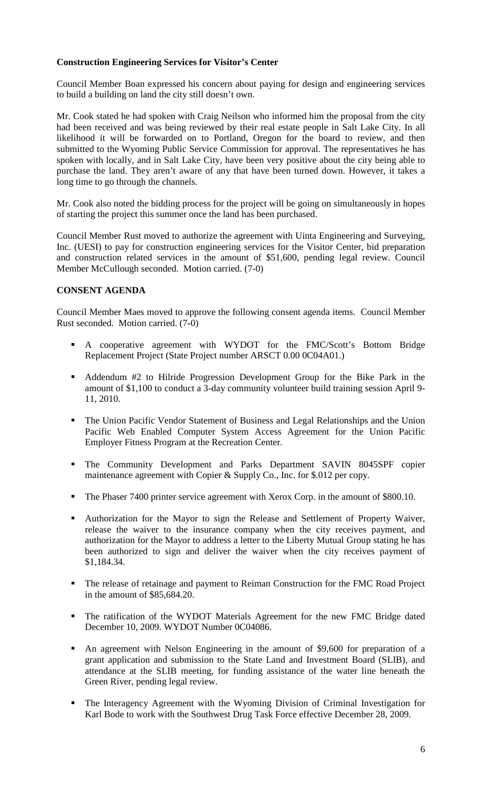## **Construction Engineering Services for Visitor's Center**

Council Member Boan expressed his concern about paying for design and engineering services to build a building on land the city still doesn't own.

Mr. Cook stated he had spoken with Craig Neilson who informed him the proposal from the city had been received and was being reviewed by their real estate people in Salt Lake City. In all likelihood it will be forwarded on to Portland, Oregon for the board to review, and then submitted to the Wyoming Public Service Commission for approval. The representatives he has spoken with locally, and in Salt Lake City, have been very positive about the city being able to purchase the land. They aren't aware of any that have been turned down. However, it takes a long time to go through the channels.

Mr. Cook also noted the bidding process for the project will be going on simultaneously in hopes of starting the project this summer once the land has been purchased.

Council Member Rust moved to authorize the agreement with Uinta Engineering and Surveying, Inc. (UESI) to pay for construction engineering services for the Visitor Center, bid preparation and construction related services in the amount of \$51,600, pending legal review. Council Member McCullough seconded. Motion carried. (7-0)

## **CONSENT AGENDA**

Council Member Maes moved to approve the following consent agenda items. Council Member Rust seconded. Motion carried. (7-0)

- A cooperative agreement with WYDOT for the FMC/Scott's Bottom Bridge Replacement Project (State Project number ARSCT 0.00 0C04A01.)
- Addendum #2 to Hilride Progression Development Group for the Bike Park in the amount of \$1,100 to conduct a 3-day community volunteer build training session April 9- 11, 2010.
- The Union Pacific Vendor Statement of Business and Legal Relationships and the Union Pacific Web Enabled Computer System Access Agreement for the Union Pacific Employer Fitness Program at the Recreation Center.
- The Community Development and Parks Department SAVIN 8045SPF copier maintenance agreement with Copier & Supply Co., Inc. for \$.012 per copy.
- The Phaser 7400 printer service agreement with Xerox Corp. in the amount of \$800.10.
- Authorization for the Mayor to sign the Release and Settlement of Property Waiver, release the waiver to the insurance company when the city receives payment, and authorization for the Mayor to address a letter to the Liberty Mutual Group stating he has been authorized to sign and deliver the waiver when the city receives payment of \$1,184.34.
- The release of retainage and payment to Reiman Construction for the FMC Road Project in the amount of \$85,684.20.
- The ratification of the WYDOT Materials Agreement for the new FMC Bridge dated December 10, 2009. WYDOT Number 0C04086.
- An agreement with Nelson Engineering in the amount of \$9,600 for preparation of a grant application and submission to the State Land and Investment Board (SLIB), and attendance at the SLIB meeting, for funding assistance of the water line beneath the Green River, pending legal review.
- The Interagency Agreement with the Wyoming Division of Criminal Investigation for Karl Bode to work with the Southwest Drug Task Force effective December 28, 2009.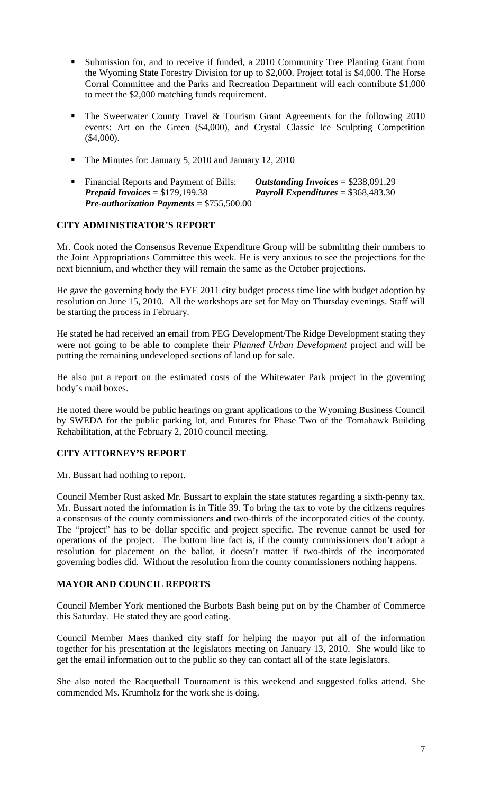- Submission for, and to receive if funded, a 2010 Community Tree Planting Grant from the Wyoming State Forestry Division for up to \$2,000. Project total is \$4,000. The Horse Corral Committee and the Parks and Recreation Department will each contribute \$1,000 to meet the \$2,000 matching funds requirement.
- The Sweetwater County Travel & Tourism Grant Agreements for the following  $2010$ events: Art on the Green (\$4,000), and Crystal Classic Ice Sculpting Competition (\$4,000).
- The Minutes for: January 5, 2010 and January 12, 2010
- Financial Reports and Payment of Bills: *Outstanding Invoices* = \$238,091.29 *Prepaid Invoices* = \$179,199.38 *Payroll Expenditures* = \$368,483.30 *Pre-authorization Payments* = \$755,500.00

## **CITY ADMINISTRATOR'S REPORT**

Mr. Cook noted the Consensus Revenue Expenditure Group will be submitting their numbers to the Joint Appropriations Committee this week. He is very anxious to see the projections for the next biennium, and whether they will remain the same as the October projections.

He gave the governing body the FYE 2011 city budget process time line with budget adoption by resolution on June 15, 2010. All the workshops are set for May on Thursday evenings. Staff will be starting the process in February.

He stated he had received an email from PEG Development/The Ridge Development stating they were not going to be able to complete their *Planned Urban Development* project and will be putting the remaining undeveloped sections of land up for sale.

He also put a report on the estimated costs of the Whitewater Park project in the governing body's mail boxes.

He noted there would be public hearings on grant applications to the Wyoming Business Council by SWEDA for the public parking lot, and Futures for Phase Two of the Tomahawk Building Rehabilitation, at the February 2, 2010 council meeting.

# **CITY ATTORNEY'S REPORT**

Mr. Bussart had nothing to report.

Council Member Rust asked Mr. Bussart to explain the state statutes regarding a sixth-penny tax. Mr. Bussart noted the information is in Title 39. To bring the tax to vote by the citizens requires a consensus of the county commissioners **and** two-thirds of the incorporated cities of the county. The "project" has to be dollar specific and project specific. The revenue cannot be used for operations of the project. The bottom line fact is, if the county commissioners don't adopt a resolution for placement on the ballot, it doesn't matter if two-thirds of the incorporated governing bodies did. Without the resolution from the county commissioners nothing happens.

## **MAYOR AND COUNCIL REPORTS**

Council Member York mentioned the Burbots Bash being put on by the Chamber of Commerce this Saturday. He stated they are good eating.

Council Member Maes thanked city staff for helping the mayor put all of the information together for his presentation at the legislators meeting on January 13, 2010. She would like to get the email information out to the public so they can contact all of the state legislators.

She also noted the Racquetball Tournament is this weekend and suggested folks attend. She commended Ms. Krumholz for the work she is doing.